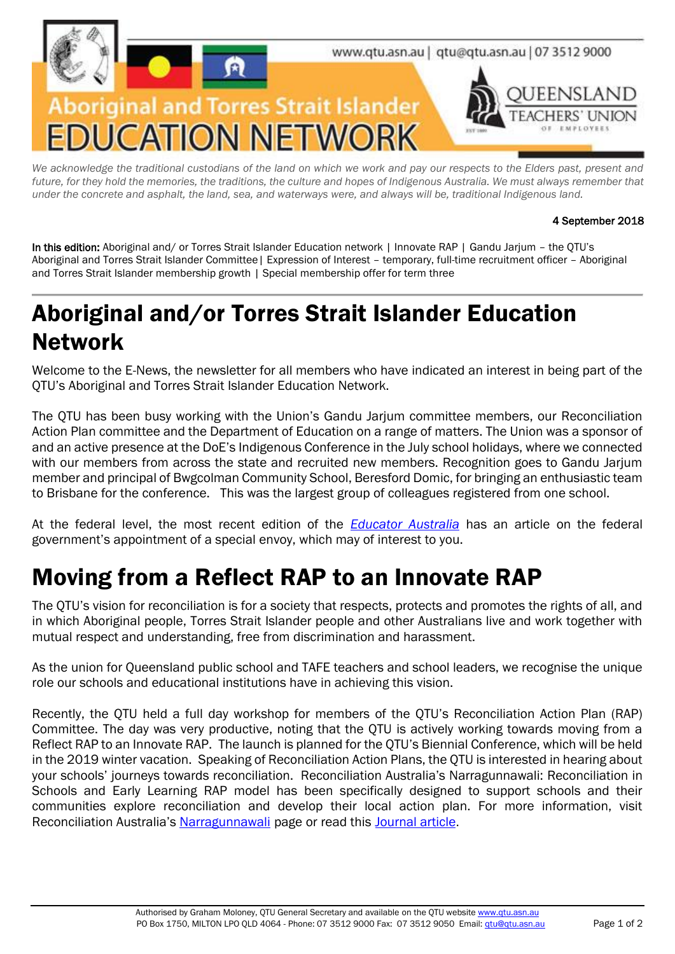

We acknowledge the traditional custodians of the land on which we work and pay our respects to the Elders past, present and future, for they hold the memories, the traditions, the culture and hopes of Indigenous Australia. We must always remember that *under the concrete and asphalt, the land, sea, and waterways were, and always will be, traditional Indigenous land.*

#### 4 September 2018

In this edition: Aboriginal and/ or Torres Strait Islander Education network | Innovate RAP | Gandu Jarjum - the OTU's Aboriginal and Torres Strait Islander Committee| Expression of Interest – temporary, full-time recruitment officer – Aboriginal and Torres Strait Islander membership growth | Special membership offer for term three

## Aboriginal and/or Torres Strait Islander Education Network

Welcome to the E-News, the newsletter for all members who have indicated an interest in being part of the QTU's Aboriginal and Torres Strait Islander Education Network.

The QTU has been busy working with the Union's Gandu Jarjum committee members, our Reconciliation Action Plan committee and the Department of Education on a range of matters. The Union was a sponsor of and an active presence at the DoE's Indigenous Conference in the July school holidays, where we connected with our members from across the state and recruited new members. Recognition goes to Gandu Jarjum member and principal of Bwgcolman Community School, Beresford Domic, for bringing an enthusiastic team to Brisbane for the conference. This was the largest group of colleagues registered from one school.

At the federal level, the most recent edition of the *[Educator Australia](https://www.theeducatoronline.com/au/news/indigenous-educators-question-abbotts-new-role/254463)* has an article on the federal government's appointment of a special envoy, which may of interest to you.

#### Moving from a Reflect RAP to an Innovate RAP

The QTU's vision for reconciliation is for a society that respects, protects and promotes the rights of all, and in which Aboriginal people, Torres Strait Islander people and other Australians live and work together with mutual respect and understanding, free from discrimination and harassment.

As the union for Queensland public school and TAFE teachers and school leaders, we recognise the unique role our schools and educational institutions have in achieving this vision.

Recently, the QTU held a full day workshop for members of the QTU's Reconciliation Action Plan (RAP) Committee. The day was very productive, noting that the QTU is actively working towards moving from a Reflect RAP to an Innovate RAP. The launch is planned for the QTU's Biennial Conference, which will be held in the 2019 winter vacation. Speaking of Reconciliation Action Plans, the QTU is interested in hearing about your schools' journeys towards reconciliation. Reconciliation Australia's Narragunnawali: Reconciliation in Schools and Early Learning RAP model has been specifically designed to support schools and their communities explore reconciliation and develop their local action plan. For more information, visit Reconciliation Australia's [Narragunnawali](http://www.reconciliation.org.au/narragunnawali/) page or read this [Journal article](https://stacks.qtu.asn.au/collections/queensland-teachers-journal/vol-121-2016/queensland-teachers-journal-april-2016/increase-respect-narragunnawali/).